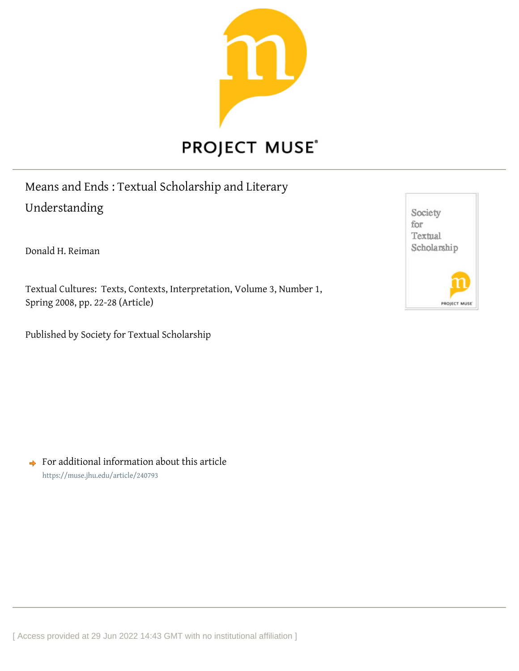

## Means and Ends : Textual Scholarship and Literary Understanding

Donald H. Reiman

Textual Cultures: Texts, Contexts, Interpretation, Volume 3, Number 1, Spring 2008, pp. 22-28 (Article)

Published by Society for Textual Scholarship

Society for Textual Scholarship PROJECT MUS

 $\rightarrow$  For additional information about this article <https://muse.jhu.edu/article/240793>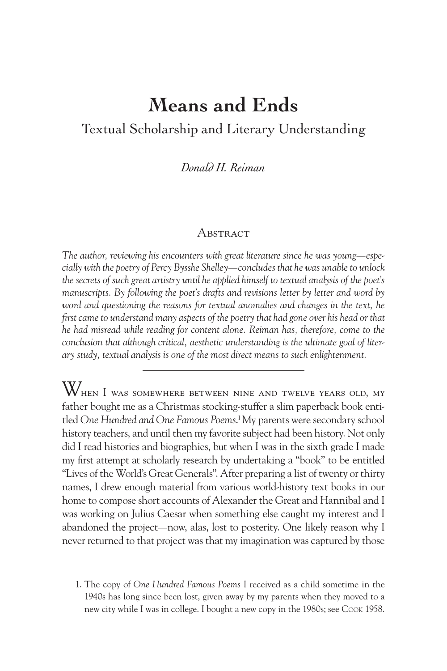## **Means and Ends** Textual Scholarship and Literary Understanding

*Donald H. Reiman*

## A bstract

*The author, reviewing his encounters with great literature since he was young—especially with the poetry of Percy Bysshe Shelley—concludes that he was unable to unlock the secrets of such great artistry until he applied himself to textual analysis of the poet's manuscripts. By following the poet's drafts and revisions letter by letter and word by* word and questioning the reasons for textual anomalies and changes in the text, he *first came to understand many aspects of the poetry that had gone over his head or that he had misread while reading for content alone. Reiman has, therefore, come to the conclusion that although critical, aesthetic understanding is the ultimate goal of literary study, textual analysis is one of the most direct means to such enlightenment.*

When I was somewhere between nine and twelve years old, my father bought me as a Christmas stocking-stuffer a slim paperback book entitled *One Hundred and One Famous Poems*. 1My parents were secondary school history teachers, and until then my favorite subject had been history. Not only did I read histories and biographies, but when I was in the sixth grade I made my first attempt at scholarly research by undertaking a "book" to be entitled "Lives of the World's Great Generals". After preparing a list of twenty or thirty names, I drew enough material from various world-history text books in our home to compose short accounts of Alexander the Great and Hannibal and I was working on Julius Caesar when something else caught my interest and I abandoned the project—now, alas, lost to posterity. One likely reason why I never returned to that project was that my imagination was captured by those

<sup>1.</sup> The copy of *One Hundred Famous Poems* I received as a child sometime in the 1940s has long since been lost, given away by my parents when they moved to a new city while I was in college. I bought a new copy in the 1980s; see Cook 1958.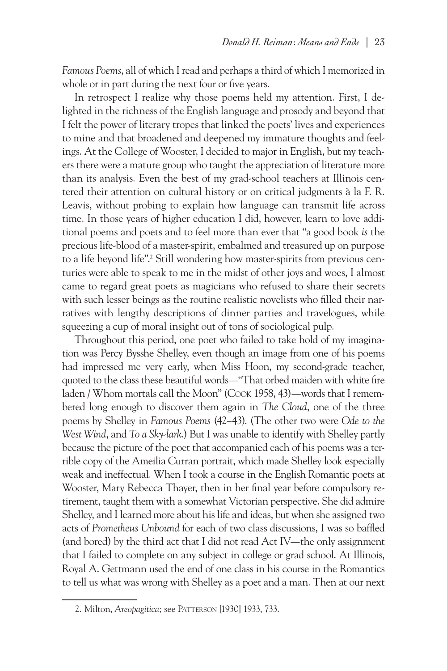*Famous Poems*, all of which I read and perhaps a third of which I memorized in whole or in part during the next four or five years.

In retrospect I realize why those poems held my attention. First, I delighted in the richness of the English language and prosody and beyond that I felt the power of literary tropes that linked the poets' lives and experiences to mine and that broadened and deepened my immature thoughts and feelings. At the College of Wooster, I decided to major in English, but my teachers there were a mature group who taught the appreciation of literature more than its analysis. Even the best of my grad-school teachers at Illinois centered their attention on cultural history or on critical judgments à la F. R. Leavis, without probing to explain how language can transmit life across time. In those years of higher education I did, however, learn to love additional poems and poets and to feel more than ever that "a good book *is* the precious life-blood of a master-spirit, embalmed and treasured up on purpose to a life beyond life".<sup>2</sup> Still wondering how master-spirits from previous centuries were able to speak to me in the midst of other joys and woes, I almost came to regard great poets as magicians who refused to share their secrets with such lesser beings as the routine realistic novelists who filled their narratives with lengthy descriptions of dinner parties and travelogues, while squeezing a cup of moral insight out of tons of sociological pulp.

Throughout this period, one poet who failed to take hold of my imagination was Percy Bysshe Shelley, even though an image from one of his poems had impressed me very early, when Miss Hoon, my second-grade teacher, quoted to the class these beautiful words—"That orbed maiden with white fire laden / Whom mortals call the Moon" (Cook 1958, 43)—words that I remembered long enough to discover them again in *The Cloud*, one of the three poems by Shelley in *Famous Poems* (42–43). (The other two were *Ode to the West Wind*, and *To a Sky-lark*.) But I was unable to identify with Shelley partly because the picture of the poet that accompanied each of his poems was a terrible copy of the Ameilia Curran portrait, which made Shelley look especially weak and ineffectual. When I took a course in the English Romantic poets at Wooster, Mary Rebecca Thayer, then in her final year before compulsory retirement, taught them with a somewhat Victorian perspective. She did admire Shelley, and I learned more about his life and ideas, but when she assigned two acts of *Prometheus Unbound* for each of two class discussions, I was so baffled (and bored) by the third act that I did not read Act IV—the only assignment that I failed to complete on any subject in college or grad school. At Illinois, Royal A. Gettmann used the end of one class in his course in the Romantics to tell us what was wrong with Shelley as a poet and a man. Then at our next

<sup>2.</sup> Milton, *Areopagitica;* see Patterson [1930] 1933, 733.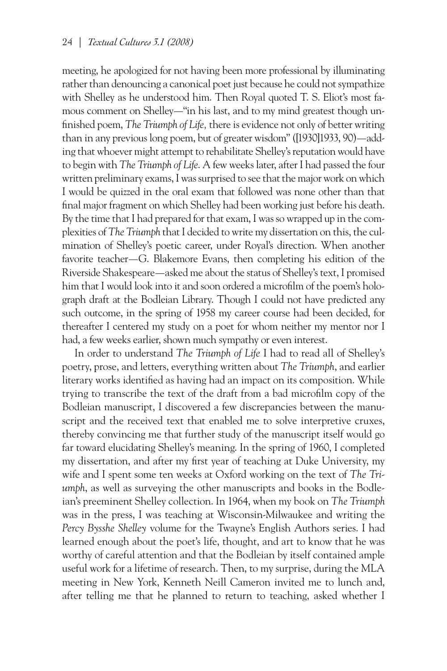meeting, he apologized for not having been more professional by illuminating rather than denouncing a canonical poet just because he could not sympathize with Shelley as he understood him. Then Royal quoted T. S. Eliot's most famous comment on Shelley—"in his last, and to my mind greatest though unfinished poem, *The Triumph of Life,* there is evidence not only of better writing than in any previous long poem, but of greater wisdom" ([1930]1933, 90)—adding that whoever might attempt to rehabilitate Shelley's reputation would have to begin with *The Triumph of Life*. A few weeks later, after I had passed the four written preliminary exams, I was surprised to see that the major work on which I would be quizzed in the oral exam that followed was none other than that final major fragment on which Shelley had been working just before his death. By the time that I had prepared for that exam, I was so wrapped up in the complexities of *The Triumph* that I decided to write my dissertation on this, the culmination of Shelley's poetic career, under Royal's direction. When another favorite teacher—G. Blakemore Evans, then completing his edition of the Riverside Shakespeare—asked me about the status of Shelley's text, I promised him that I would look into it and soon ordered a microfilm of the poem's holograph draft at the Bodleian Library. Though I could not have predicted any such outcome, in the spring of 1958 my career course had been decided, for thereafter I centered my study on a poet for whom neither my mentor nor I had, a few weeks earlier, shown much sympathy or even interest.

In order to understand *The Triumph of Life* I had to read all of Shelley's poetry, prose, and letters, everything written about *The Triumph*, and earlier literary works identified as having had an impact on its composition. While trying to transcribe the text of the draft from a bad microfilm copy of the Bodleian manuscript, I discovered a few discrepancies between the manuscript and the received text that enabled me to solve interpretive cruxes, thereby convincing me that further study of the manuscript itself would go far toward elucidating Shelley's meaning. In the spring of 1960, I completed my dissertation, and after my first year of teaching at Duke University, my wife and I spent some ten weeks at Oxford working on the text of *The Triumph*, as well as surveying the other manuscripts and books in the Bodleian's preeminent Shelley collection. In 1964, when my book on *The Triumph* was in the press, I was teaching at Wisconsin-Milwaukee and writing the *Percy Bysshe Shelley* volume for the Twayne's English Authors series. I had learned enough about the poet's life, thought, and art to know that he was worthy of careful attention and that the Bodleian by itself contained ample useful work for a lifetime of research. Then, to my surprise, during the MLA meeting in New York, Kenneth Neill Cameron invited me to lunch and, after telling me that he planned to return to teaching, asked whether I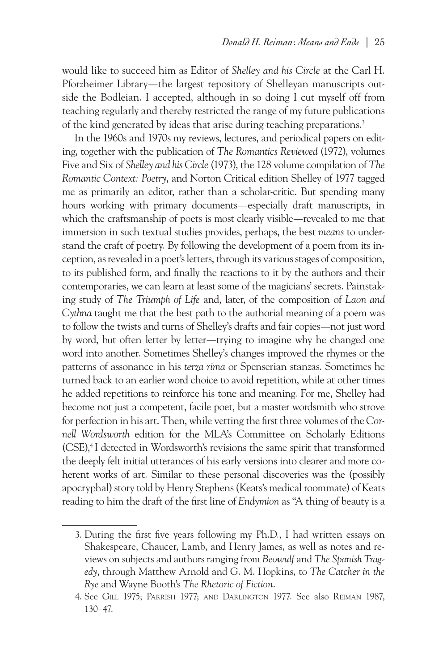would like to succeed him as Editor of *Shelley and his Circle* at the Carl H. Pforzheimer Library—the largest repository of Shelleyan manuscripts outside the Bodleian. I accepted, although in so doing I cut myself off from teaching regularly and thereby restricted the range of my future publications of the kind generated by ideas that arise during teaching preparations.<sup>3</sup>

In the 1960s and 1970s my reviews, lectures, and periodical papers on editing, together with the publication of *The Romantics Reviewed* (1972), volumes Five and Six of *Shelley and his Circle* (1973), the 128 volume compilation of *The Romantic Context: Poetry*, and Norton Critical edition Shelley of 1977 tagged me as primarily an editor, rather than a scholar-critic. But spending many hours working with primary documents—especially draft manuscripts, in which the craftsmanship of poets is most clearly visible—revealed to me that immersion in such textual studies provides, perhaps, the best *means* to understand the craft of poetry. By following the development of a poem from its inception, as revealed in a poet's letters, through its various stages of composition, to its published form, and finally the reactions to it by the authors and their contemporaries, we can learn at least some of the magicians' secrets. Painstaking study of *The Triumph of Life* and, later, of the composition of *Laon and Cythna* taught me that the best path to the authorial meaning of a poem was to follow the twists and turns of Shelley's drafts and fair copies—not just word by word, but often letter by letter—trying to imagine why he changed one word into another. Sometimes Shelley's changes improved the rhymes or the patterns of assonance in his *terza rima* or Spenserian stanzas. Sometimes he turned back to an earlier word choice to avoid repetition, while at other times he added repetitions to reinforce his tone and meaning. For me, Shelley had become not just a competent, facile poet, but a master wordsmith who strove for perfection in his art. Then, while vetting the first three volumes of the *Cornell Wordsworth* edition for the MLA's Committee on Scholarly Editions (CSE),4 I detected in Wordsworth's revisions the same spirit that transformed the deeply felt initial utterances of his early versions into clearer and more coherent works of art. Similar to these personal discoveries was the (possibly apocryphal) story told by Henry Stephens (Keats's medical roommate) of Keats reading to him the draft of the first line of *Endymion* as "A thing of beauty is a

<sup>3.</sup> During the first five years following my Ph.D., I had written essays on Shakespeare, Chaucer, Lamb, and Henry James, as well as notes and reviews on subjects and authors ranging from *Beowulf* and *The Spanish Tragedy*, through Matthew Arnold and G. M. Hopkins, to *The Catcher in the Rye* and Wayne Booth's *The Rhetoric of Fiction*.

<sup>4.</sup> See Gill 1975; Parrish 1977; and Darlington 1977. See also Reiman 1987, 130–47.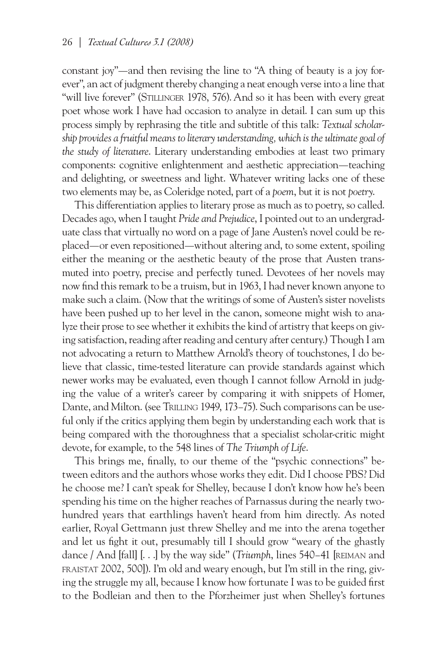constant joy"—and then revising the line to "A thing of beauty is a joy forever", an act of judgment thereby changing a neat enough verse into a line that "will live forever" (STILLINGER 1978, 576). And so it has been with every great poet whose work I have had occasion to analyze in detail. I can sum up this process simply by rephrasing the title and subtitle of this talk: *Textual scholarship provides a fruitful means to literary understanding, which is the ultimate goal of the study of literature*. Literary understanding embodies at least two primary components: cognitive enlightenment and aesthetic appreciation—teaching and delighting, or sweetness and light. Whatever writing lacks one of these two elements may be, as Coleridge noted, part of a *poem*, but it is not *poetry*.

This differentiation applies to literary prose as much as to poetry, so called. Decades ago, when I taught *Pride and Prejudice*, I pointed out to an undergraduate class that virtually no word on a page of Jane Austen's novel could be replaced—or even repositioned—without altering and, to some extent, spoiling either the meaning or the aesthetic beauty of the prose that Austen transmuted into poetry, precise and perfectly tuned. Devotees of her novels may now find this remark to be a truism, but in 1963, I had never known anyone to make such a claim. (Now that the writings of some of Austen's sister novelists have been pushed up to her level in the canon, someone might wish to analyze their prose to see whether it exhibits the kind of artistry that keeps on giving satisfaction, reading after reading and century after century.) Though I am not advocating a return to Matthew Arnold's theory of touchstones, I do believe that classic, time-tested literature can provide standards against which newer works may be evaluated, even though I cannot follow Arnold in judging the value of a writer's career by comparing it with snippets of Homer, Dante, and Milton. (see Trulling 1949, 173–75). Such comparisons can be useful only if the critics applying them begin by understanding each work that is being compared with the thoroughness that a specialist scholar-critic might devote, for example, to the 548 lines of *The Triumph of Life*.

This brings me, finally, to our theme of the "psychic connections" between editors and the authors whose works they edit. Did I choose PBS? Did he choose me? I can't speak for Shelley, because I don't know how he's been spending his time on the higher reaches of Parnassus during the nearly twohundred years that earthlings haven't heard from him directly. As noted earlier, Royal Gettmann just threw Shelley and me into the arena together and let us fight it out, presumably till I should grow "weary of the ghastly dance / And [fall] [. . .] by the way side" (*Triumph*, lines 540–41 [reiman and fraistat 2002, 500]). I'm old and weary enough, but I'm still in the ring, giving the struggle my all, because I know how fortunate I was to be guided first to the Bodleian and then to the Pforzheimer just when Shelley's fortunes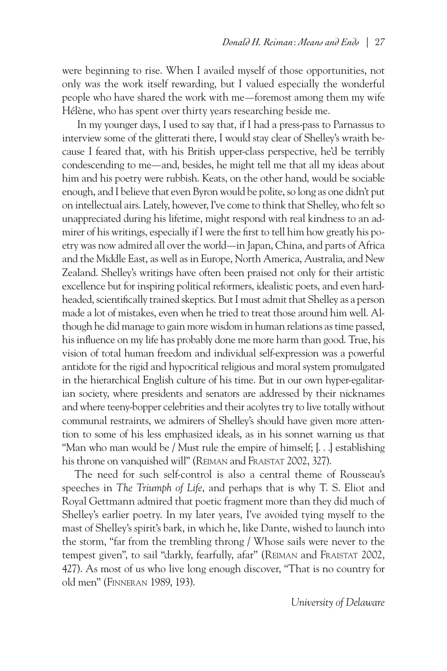were beginning to rise. When I availed myself of those opportunities, not only was the work itself rewarding, but I valued especially the wonderful people who have shared the work with me—foremost among them my wife Hélène, who has spent over thirty years researching beside me.

 In my younger days, I used to say that, if I had a press-pass to Parnassus to interview some of the glitterati there, I would stay clear of Shelley's wraith because I feared that, with his British upper-class perspective, he'd be terribly condescending to me—and, besides, he might tell me that all my ideas about him and his poetry were rubbish. Keats, on the other hand, would be sociable enough, and I believe that even Byron would be polite, so long as one didn't put on intellectual airs. Lately, however, I've come to think that Shelley, who felt so unappreciated during his lifetime, might respond with real kindness to an admirer of his writings, especially if I were the first to tell him how greatly his poetry was now admired all over the world—in Japan, China, and parts of Africa and the Middle East, as well as in Europe, North America, Australia, and New Zealand. Shelley's writings have often been praised not only for their artistic excellence but for inspiring political reformers, idealistic poets, and even hardheaded, scientifically trained skeptics. But I must admit that Shelley as a person made a lot of mistakes, even when he tried to treat those around him well. Although he did manage to gain more wisdom in human relations as time passed, his influence on my life has probably done me more harm than good. True, his vision of total human freedom and individual self-expression was a powerful antidote for the rigid and hypocritical religious and moral system promulgated in the hierarchical English culture of his time. But in our own hyper-egalitarian society, where presidents and senators are addressed by their nicknames and where teeny-bopper celebrities and their acolytes try to live totally without communal restraints, we admirers of Shelley's should have given more attention to some of his less emphasized ideals, as in his sonnet warning us that "Man who man would be / Must rule the empire of himself; [. . .] establishing his throne on vanquished will" (Reiman and Fraistat 2002, 327).

The need for such self-control is also a central theme of Rousseau's speeches in *The Triumph of Life*, and perhaps that is why T. S. Eliot and Royal Gettmann admired that poetic fragment more than they did much of Shelley's earlier poetry. In my later years, I've avoided tying myself to the mast of Shelley's spirit's bark, in which he, like Dante, wished to launch into the storm, "far from the trembling throng / Whose sails were never to the tempest given", to sail "darkly, fearfully, afar" (REIMAN and FRAISTAT 2002, 427). As most of us who live long enough discover, "That is no country for old men" (Finneran 1989, 193).

*University of Delaware*